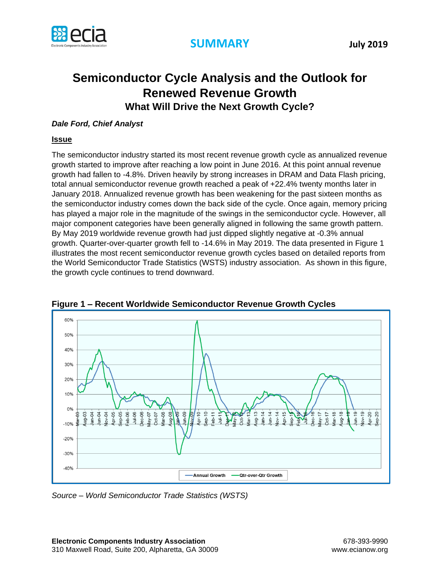

## **Semiconductor Cycle Analysis and the Outlook for Renewed Revenue Growth What Will Drive the Next Growth Cycle?**

## *Dale Ford, Chief Analyst*

## **Issue**

The semiconductor industry started its most recent revenue growth cycle as annualized revenue growth started to improve after reaching a low point in June 2016. At this point annual revenue growth had fallen to -4.8%. Driven heavily by strong increases in DRAM and Data Flash pricing, total annual semiconductor revenue growth reached a peak of +22.4% twenty months later in January 2018. Annualized revenue growth has been weakening for the past sixteen months as the semiconductor industry comes down the back side of the cycle. Once again, memory pricing has played a major role in the magnitude of the swings in the semiconductor cycle. However, all major component categories have been generally aligned in following the same growth pattern. By May 2019 worldwide revenue growth had just dipped slightly negative at -0.3% annual growth. Quarter-over-quarter growth fell to -14.6% in May 2019. The data presented in Figure 1 illustrates the most recent semiconductor revenue growth cycles based on detailed reports from the World Semiconductor Trade Statistics (WSTS) industry association. As shown in this figure, the growth cycle continues to trend downward.



**Figure 1 – Recent Worldwide Semiconductor Revenue Growth Cycles**

*Source – World Semiconductor Trade Statistics (WSTS)*